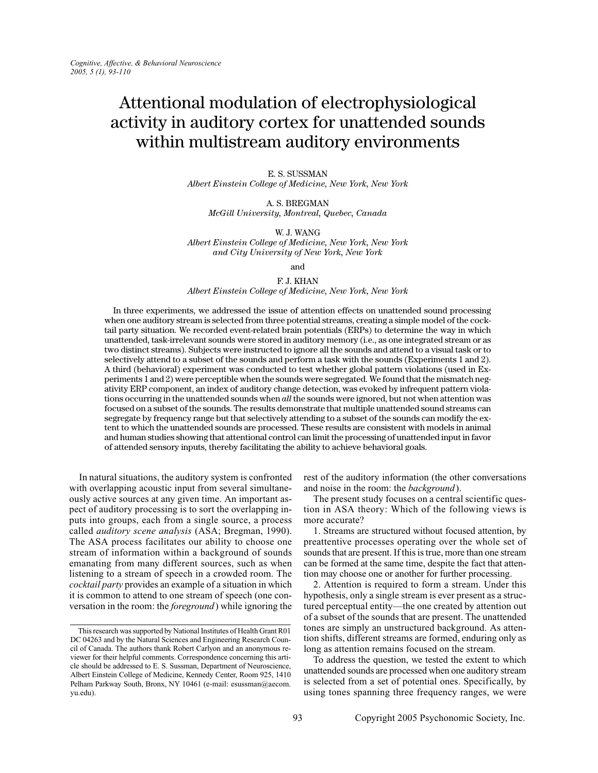# Attentional modulation of electrophysiological activity in auditory cortex for unattended sounds within multistream auditory environments

E. S. SUSSMAN

Albert Einstein College of Medicine, New York, New York

A. S. BREGMAN McGill University, Montreal, Quebec, Canada

W. J. WANG

Albert Einstein College of Medicine, New York, New York and City University of New York, New York

and

#### F. J. KHAN

#### Albert Einstein College of Medicine, New York, New York

In three experiments, we addressed the issue of attention effects on unattended sound processing when one auditory stream is selected from three potential streams, creating a simple model of the cocktail party situation. We recorded event-related brain potentials (ERPs) to determine the way in which unattended, task-irrelevant sounds were stored in auditory memory (i.e., as one integrated stream or as two distinct streams). Subjects were instructed to ignore all the sounds and attend to a visual task or to selectively attend to a subset of the sounds and perform a task with the sounds (Experiments 1 and 2). A third (behavioral) experiment was conducted to test whether global pattern violations (used in Experiments 1 and 2) were perceptible when the sounds were segregated. We found that the mismatch negativity ERP component, an index of auditory change detection, was evoked by infrequent pattern violations occurring in the unattended sounds when all the sounds were ignored, but not when attention was focused on a subset of the sounds. The results demonstrate that multiple unattended sound streams can segregate by frequency range but that selectively attending to a subset of the sounds can modify the extent to which the unattended sounds are processed. These results are consistent with models in animal and human studies showing that attentional control can limit the processing of unattended input in favor of attended sensory inputs, thereby facilitating the ability to achieve behavioral goals.

In natural situations, the auditory system is confronted with overlapping acoustic input from several simultaneously active sources at any given time. An important aspect of auditory processing is to sort the overlapping inputs into groups, each from a single source, a process called *auditory scene analysis* (ASA; Bregman, 1990). The ASA process facilitates our ability to choose one stream of information within a background of sounds emanating from many different sources, such as when listening to a stream of speech in a crowded room. The cocktail party provides an example of a situation in which it is common to attend to one stream of speech (one conversation in the room: the *foreground*) while ignoring the

rest of the auditory information (the other conversations and noise in the room: the *background*).

The present study focuses on a central scientific question in ASA theory: Which of the following views is more accurate?

1. Streams are structured without focused attention, by preattentive processes operating over the whole set of sounds that are present. If this is true, more than one stream can be formed at the same time, despite the fact that attention may choose one or another for further processing.

2. Attention is required to form a stream. Under this hypothesis, only a single stream is ever present as a structured perceptual entity—the one created by attention out of a subset of the sounds that are present. The unattended tones are simply an unstructured background. As attention shifts, different streams are formed, enduring only as long as attention remains focused on the stream.

To address the question, we tested the extent to which unattended sounds are processed when one auditory stream is selected from a set of potential ones. Specifically, by using tones spanning three frequency ranges, we were

This research was supported by National Institutes of Health Grant R01 DC 04263 and by the Natural Sciences and Engineering Research Council of Canada. The authors thank Robert Carlyon and an anonymous reviewer for their helpful comments. Correspondence concerning this article should be addressed to E. S. Sussman, Department of Neuroscience, Albert Einstein College of Medicine, Kennedy Center, Room 925, 1410 Pelham Parkway South, Bronx, NY 10461 (e-mail: esussman@aecom. yu.edu).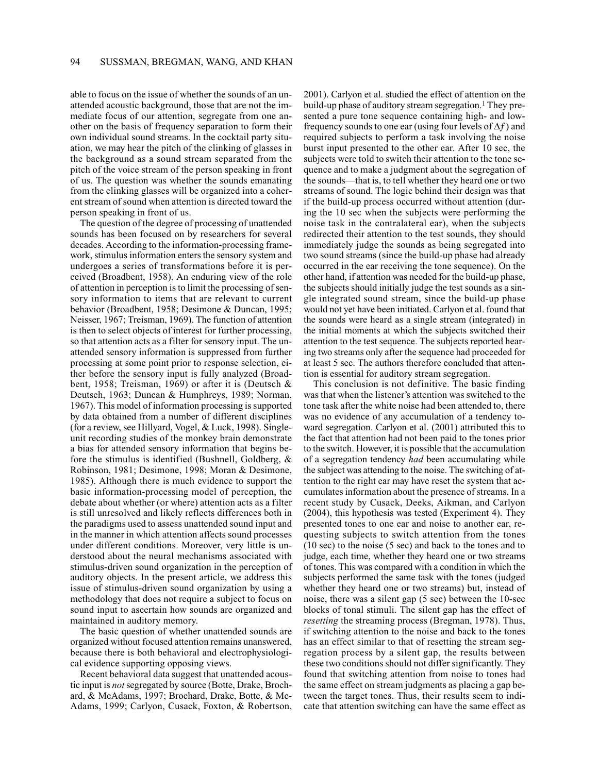able to focus on the issue of whether the sounds of an unattended acoustic background, those that are not the immediate focus of our attention, segregate from one another on the basis of frequency separation to form their own individual sound streams. In the cocktail party situation, we may hear the pitch of the clinking of glasses in the background as a sound stream separated from the pitch of the voice stream of the person speaking in front of us. The question was whether the sounds emanating from the clinking glasses will be organized into a coherent stream of sound when attention is directed toward the person speaking in front of us.

The question of the degree of processing of unattended sounds has been focused on by researchers for several decades. According to the information-processing framework, stimulus information enters the sensory system and undergoes a series of transformations before it is perceived (Broadbent, 1958). An enduring view of the role of attention in perception is to limit the processing of sensory information to items that are relevant to current behavior (Broadbent, 1958; Desimone & Duncan, 1995; Neisser, 1967; Treisman, 1969). The function of attention is then to select objects of interest for further processing, so that attention acts as a filter for sensory input. The unattended sensory information is suppressed from further processing at some point prior to response selection, either before the sensory input is fully analyzed (Broadbent, 1958; Treisman, 1969) or after it is (Deutsch & Deutsch, 1963; Duncan & Humphreys, 1989; Norman, 1967). This model of information processing is supported by data obtained from a number of different disciplines (for a review, see Hillyard, Vogel, & Luck, 1998). Singleunit recording studies of the monkey brain demonstrate a bias for attended sensory information that begins before the stimulus is identified (Bushnell, Goldberg, & Robinson, 1981; Desimone, 1998; Moran & Desimone, 1985). Although there is much evidence to support the basic information-processing model of perception, the debate about whether (or where) attention acts as a filter is still unresolved and likely reflects differences both in the paradigms used to assess unattended sound input and in the manner in which attention affects sound processes under different conditions. Moreover, very little is understood about the neural mechanisms associated with stimulus-driven sound organization in the perception of auditory objects. In the present article, we address this issue of stimulus-driven sound organization by using a methodology that does not require a subject to focus on sound input to ascertain how sounds are organized and maintained in auditory memory.

The basic question of whether unattended sounds are organized without focused attention remains unanswered, because there is both behavioral and electrophysiological evidence supporting opposing views.

Recent behavioral data suggest that unattended acoustic input is *not* segregated by source (Botte, Drake, Brochard, & McAdams, 1997; Brochard, Drake, Botte, & Mc-Adams, 1999; Carlyon, Cusack, Foxton, & Robertson,

2001). Carlyon et al. studied the effect of attention on the build-up phase of auditory stream segregation.<sup>1</sup> They presented a pure tone sequence containing high- and lowfrequency sounds to one ear (using four levels of  $\Delta f$ ) and required subjects to perform a task involving the noise burst input presented to the other ear. After 10 sec, the subjects were told to switch their attention to the tone sequence and to make a judgment about the segregation of the sounds—that is, to tell whether they heard one or two streams of sound. The logic behind their design was that if the build-up process occurred without attention (during the 10 sec when the subjects were performing the noise task in the contralateral ear), when the subjects redirected their attention to the test sounds, they should immediately judge the sounds as being segregated into two sound streams (since the build-up phase had already occurred in the ear receiving the tone sequence). On the other hand, if attention was needed for the build-up phase, the subjects should initially judge the test sounds as a single integrated sound stream, since the build-up phase would not yet have been initiated. Carlyon et al. found that the sounds were heard as a single stream (integrated) in the initial moments at which the subjects switched their attention to the test sequence. The subjects reported hearing two streams only after the sequence had proceeded for at least 5 sec. The authors therefore concluded that attention is essential for auditory stream segregation.

This conclusion is not definitive. The basic finding was that when the listener's attention was switched to the tone task after the white noise had been attended to, there was no evidence of any accumulation of a tendency toward segregation. Carlyon et al. (2001) attributed this to the fact that attention had not been paid to the tones prior to the switch. However, it is possible that the accumulation of a segregation tendency had been accumulating while the subject was attending to the noise. The switching of attention to the right ear may have reset the system that accumulates information about the presence of streams. In a recent study by Cusack, Deeks, Aikman, and Carlyon (2004), this hypothesis was tested (Experiment 4). They presented tones to one ear and noise to another ear, requesting subjects to switch attention from the tones  $(10 \text{ sec})$  to the noise  $(5 \text{ sec})$  and back to the tones and to judge, each time, whether they heard one or two streams of tones. This was compared with a condition in which the subjects performed the same task with the tones (judged whether they heard one or two streams) but, instead of noise, there was a silent gap (5 sec) between the 10-sec blocks of tonal stimuli. The silent gap has the effect of *resetting* the streaming process (Bregman, 1978). Thus, if switching attention to the noise and back to the tones has an effect similar to that of resetting the stream segregation process by a silent gap, the results between these two conditions should not differ significantly. They found that switching attention from noise to tones had the same effect on stream judgments as placing a gap between the target tones. Thus, their results seem to indicate that attention switching can have the same effect as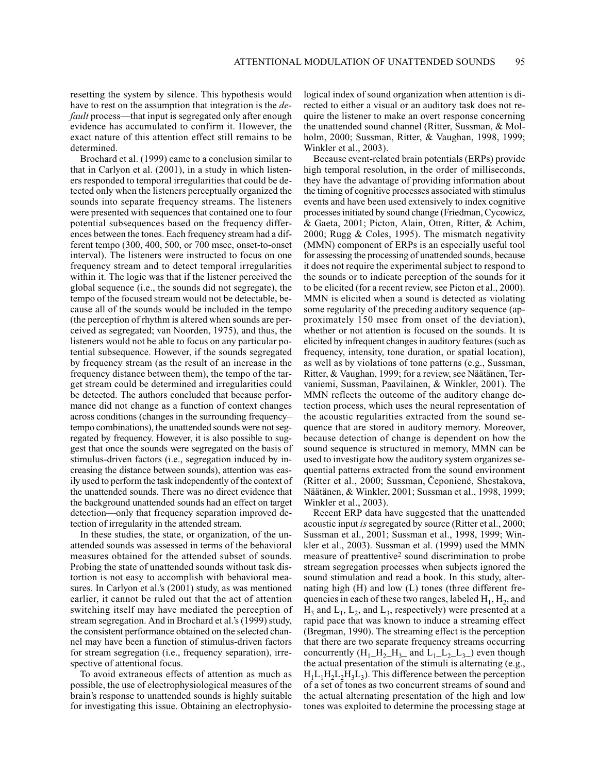resetting the system by silence. This hypothesis would have to rest on the assumption that integration is the *default* process—that input is segregated only after enough evidence has accumulated to confirm it. However, the exact nature of this attention effect still remains to be determined.

Brochard et al. (1999) came to a conclusion similar to that in Carlyon et al. (2001), in a study in which listeners responded to temporal irregularities that could be detected only when the listeners perceptually organized the sounds into separate frequency streams. The listeners were presented with sequences that contained one to four potential subsequences based on the frequency differences between the tones. Each frequency stream had a different tempo (300, 400, 500, or 700 msec, onset-to-onset interval). The listeners were instructed to focus on one frequency stream and to detect temporal irregularities within it. The logic was that if the listener perceived the global sequence (i.e., the sounds did not segregate), the tempo of the focused stream would not be detectable, because all of the sounds would be included in the tempo (the perception of rhythm is altered when sounds are perceived as segregated; van Noorden, 1975), and thus, the listeners would not be able to focus on any particular potential subsequence. However, if the sounds segregated by frequency stream (as the result of an increase in the frequency distance between them), the tempo of the target stream could be determined and irregularities could be detected. The authors concluded that because performance did not change as a function of context changes across conditions (changes in the surrounding frequencytempo combinations), the unattended sounds were not segregated by frequency. However, it is also possible to suggest that once the sounds were segregated on the basis of stimulus-driven factors (i.e., segregation induced by increasing the distance between sounds), attention was easily used to perform the task independently of the context of the unattended sounds. There was no direct evidence that the background unattended sounds had an effect on target detection—only that frequency separation improved detection of irregularity in the attended stream.

In these studies, the state, or organization, of the unattended sounds was assessed in terms of the behavioral measures obtained for the attended subset of sounds. Probing the state of unattended sounds without task distortion is not easy to accomplish with behavioral measures. In Carlyon et al.'s (2001) study, as was mentioned earlier, it cannot be ruled out that the act of attention switching itself may have mediated the perception of stream segregation. And in Brochard et al.'s (1999) study, the consistent performance obtained on the selected channel may have been a function of stimulus-driven factors for stream segregation (i.e., frequency separation), irrespective of attentional focus.

To avoid extraneous effects of attention as much as possible, the use of electrophysiological measures of the brain's response to unattended sounds is highly suitable for investigating this issue. Obtaining an electrophysiological index of sound organization when attention is directed to either a visual or an auditory task does not require the listener to make an overt response concerning the unattended sound channel (Ritter, Sussman, & Molholm, 2000; Sussman, Ritter, & Vaughan, 1998, 1999; Winkler et al., 2003).

Because event-related brain potentials (ERPs) provide high temporal resolution, in the order of milliseconds, they have the advantage of providing information about the timing of cognitive processes associated with stimulus events and have been used extensively to index cognitive processes initiated by sound change (Friedman, Cycowicz, & Gaeta, 2001; Picton, Alain, Otten, Ritter, & Achim, 2000; Rugg & Coles, 1995). The mismatch negativity (MMN) component of ERPs is an especially useful tool for assessing the processing of unattended sounds, because it does not require the experimental subject to respond to the sounds or to indicate perception of the sounds for it to be elicited (for a recent review, see Picton et al., 2000). MMN is elicited when a sound is detected as violating some regularity of the preceding auditory sequence (approximately 150 msec from onset of the deviation), whether or not attention is focused on the sounds. It is elicited by infrequent changes in auditory features (such as frequency, intensity, tone duration, or spatial location), as well as by violations of tone patterns (e.g., Sussman, Ritter, & Vaughan, 1999; for a review, see Näätänen, Tervaniemi, Sussman, Paavilainen, & Winkler, 2001). The MMN reflects the outcome of the auditory change detection process, which uses the neural representation of the acoustic regularities extracted from the sound sequence that are stored in auditory memory. Moreover, because detection of change is dependent on how the sound sequence is structured in memory, MMN can be used to investigate how the auditory system organizes sequential patterns extracted from the sound environment (Ritter et al., 2000; Sussman, Čeponienė, Shestakova, Näätänen, & Winkler, 2001; Sussman et al., 1998, 1999; Winkler et al., 2003).

Recent ERP data have suggested that the unattended acoustic input is segregated by source (Ritter et al., 2000; Sussman et al., 2001; Sussman et al., 1998, 1999; Winkler et al., 2003). Sussman et al. (1999) used the MMN measure of preattentive<sup>2</sup> sound discrimination to probe stream segregation processes when subjects ignored the sound stimulation and read a book. In this study, alternating high (H) and low (L) tones (three different frequencies in each of these two ranges, labeled  $H_1$ ,  $H_2$ , and  $H_3$  and  $L_1$ ,  $L_2$ , and  $L_3$ , respectively) were presented at a rapid pace that was known to induce a streaming effect (Bregman, 1990). The streaming effect is the perception that there are two separate frequency streams occurring concurrently  $(H_1_H_2_H_3$  and  $L_1_L_2_L_3$ ) even though the actual presentation of the stimuli is alternating (e.g.,  $H_1L_1H_2L_2H_3L_3$ . This difference between the perception of a set of tones as two concurrent streams of sound and the actual alternating presentation of the high and low tones was exploited to determine the processing stage at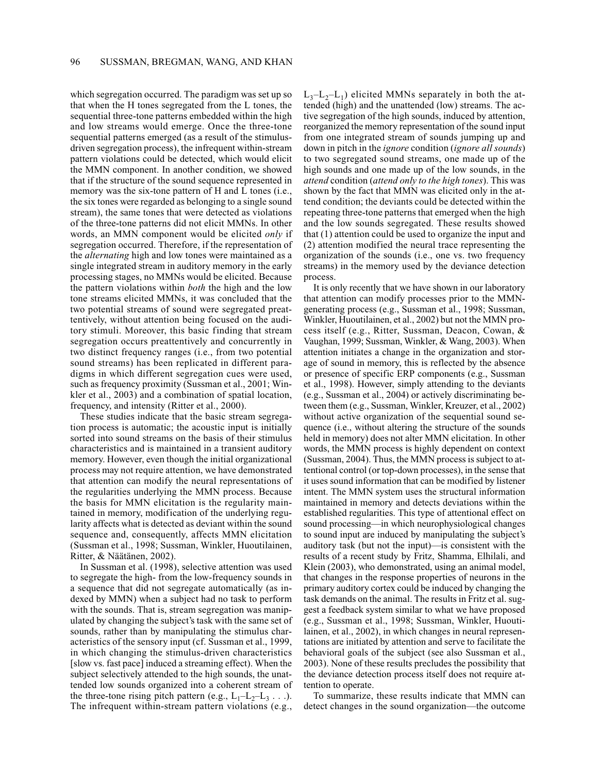which segregation occurred. The paradigm was set up so that when the H tones segregated from the L tones, the sequential three-tone patterns embedded within the high and low streams would emerge. Once the three-tone sequential patterns emerged (as a result of the stimulusdriven segregation process), the infrequent within-stream pattern violations could be detected, which would elicit the MMN component. In another condition, we showed that if the structure of the sound sequence represented in memory was the six-tone pattern of H and L tones (*i.e.*, the six tones were regarded as belonging to a single sound stream), the same tones that were detected as violations of the three-tone patterns did not elicit MMNs. In other words, an MMN component would be elicited only if segregation occurred. Therefore, if the representation of the *alternating* high and low tones were maintained as a single integrated stream in auditory memory in the early processing stages, no MMNs would be elicited. Because the pattern violations within *both* the high and the low tone streams elicited MMNs, it was concluded that the two potential streams of sound were segregated preattentively, without attention being focused on the auditory stimuli. Moreover, this basic finding that stream segregation occurs preattentively and concurrently in two distinct frequency ranges (*i.e.*, from two potential sound streams) has been replicated in different paradigms in which different segregation cues were used, such as frequency proximity (Sussman et al., 2001; Winkler et al., 2003) and a combination of spatial location, frequency, and intensity (Ritter et al., 2000).

These studies indicate that the basic stream segregation process is automatic; the acoustic input is initially sorted into sound streams on the basis of their stimulus characteristics and is maintained in a transient auditory memory. However, even though the initial organizational process may not require attention, we have demonstrated that attention can modify the neural representations of the regularities underlying the MMN process. Because the basis for MMN elicitation is the regularity maintained in memory, modification of the underlying regularity affects what is detected as deviant within the sound sequence and, consequently, affects MMN elicitation (Sussman et al., 1998; Sussman, Winkler, Huoutilainen, Ritter, & Näätänen, 2002).

In Sussman et al. (1998), selective attention was used to segregate the high-from the low-frequency sounds in a sequence that did not segregate automatically (as indexed by MMN) when a subject had no task to perform with the sounds. That is, stream segregation was manipulated by changing the subject's task with the same set of sounds, rather than by manipulating the stimulus characteristics of the sensory input (cf. Sussman et al., 1999, in which changing the stimulus-driven characteristics [slow vs. fast pace] induced a streaming effect). When the subject selectively attended to the high sounds, the unattended low sounds organized into a coherent stream of the three-tone rising pitch pattern (e.g.,  $L_1-L_2-L_3$ ...). The infrequent within-stream pattern violations (e.g.,

 $L_3 - L_2 - L_1$ ) elicited MMNs separately in both the attended (high) and the unattended (low) streams. The active segregation of the high sounds, induced by attention, reorganized the memory representation of the sound input from one integrated stream of sounds jumping up and down in pitch in the *ignore* condition *(ignore all sounds)* to two segregated sound streams, one made up of the high sounds and one made up of the low sounds, in the attend condition (attend only to the high tones). This was shown by the fact that MMN was elicited only in the attend condition; the deviants could be detected within the repeating three-tone patterns that emerged when the high and the low sounds segregated. These results showed that (1) attention could be used to organize the input and (2) attention modified the neural trace representing the organization of the sounds (*i.e.*, one vs. two frequency streams) in the memory used by the deviance detection process.

It is only recently that we have shown in our laboratory that attention can modify processes prior to the MMNgenerating process (e.g., Sussman et al., 1998; Sussman, Winkler, Huoutilainen, et al., 2002) but not the MMN process itself (e.g., Ritter, Sussman, Deacon, Cowan, & Vaughan, 1999; Sussman, Winkler, & Wang, 2003). When attention initiates a change in the organization and storage of sound in memory, this is reflected by the absence or presence of specific ERP components (e.g., Sussman et al., 1998). However, simply attending to the deviants (e.g., Sussman et al., 2004) or actively discriminating between them (e.g., Sussman, Winkler, Kreuzer, et al., 2002) without active organization of the sequential sound sequence (*i.e.*, without altering the structure of the sounds held in memory) does not alter MMN elicitation. In other words, the MMN process is highly dependent on context (Sussman, 2004). Thus, the MMN process is subject to attentional control (or top-down processes), in the sense that it uses sound information that can be modified by listener intent. The MMN system uses the structural information maintained in memory and detects deviations within the established regularities. This type of attentional effect on sound processing—in which neurophysiological changes to sound input are induced by manipulating the subject's auditory task (but not the input)—is consistent with the results of a recent study by Fritz, Shamma, Elhilali, and Klein (2003), who demonstrated, using an animal model, that changes in the response properties of neurons in the primary auditory cortex could be induced by changing the task demands on the animal. The results in Fritz et al. suggest a feedback system similar to what we have proposed (e.g., Sussman et al., 1998; Sussman, Winkler, Huoutilainen, et al., 2002), in which changes in neural representations are initiated by attention and serve to facilitate the behavioral goals of the subject (see also Sussman et al., 2003). None of these results precludes the possibility that the deviance detection process itself does not require attention to operate.

To summarize, these results indicate that MMN can detect changes in the sound organization—the outcome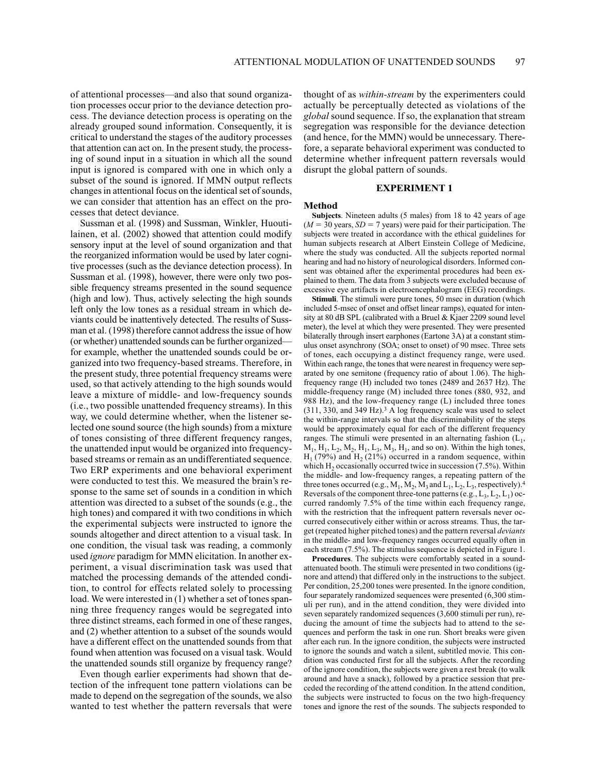of attentional processes—and also that sound organization processes occur prior to the deviance detection process. The deviance detection process is operating on the already grouped sound information. Consequently, it is critical to understand the stages of the auditory processes that attention can act on. In the present study, the processing of sound input in a situation in which all the sound input is ignored is compared with one in which only a subset of the sound is ignored. If MMN output reflects changes in attentional focus on the identical set of sounds, we can consider that attention has an effect on the processes that detect deviance.

Sussman et al. (1998) and Sussman, Winkler, Huoutilainen, et al. (2002) showed that attention could modify sensory input at the level of sound organization and that the reorganized information would be used by later cognitive processes (such as the deviance detection process). In Sussman et al. (1998), however, there were only two possible frequency streams presented in the sound sequence (high and low). Thus, actively selecting the high sounds left only the low tones as a residual stream in which deviants could be inattentively detected. The results of Sussman et al. (1998) therefore cannot address the issue of how (or whether) unattended sounds can be further organized for example, whether the unattended sounds could be organized into two frequency-based streams. Therefore, in the present study, three potential frequency streams were used, so that actively attending to the high sounds would leave a mixture of middle- and low-frequency sounds (*i.e.*, two possible unattended frequency streams). In this way, we could determine whether, when the listener selected one sound source (the high sounds) from a mixture of tones consisting of three different frequency ranges, the unattended input would be organized into frequencybased streams or remain as an undifferentiated sequence. Two ERP experiments and one behavioral experiment were conducted to test this. We measured the brain's response to the same set of sounds in a condition in which attention was directed to a subset of the sounds (e.g., the high tones) and compared it with two conditions in which the experimental subjects were instructed to ignore the sounds altogether and direct attention to a visual task. In one condition, the visual task was reading, a commonly used *ignore* paradigm for MMN elicitation. In another experiment, a visual discrimination task was used that matched the processing demands of the attended condition, to control for effects related solely to processing load. We were interested in (1) whether a set of tones spanning three frequency ranges would be segregated into three distinct streams, each formed in one of these ranges, and (2) whether attention to a subset of the sounds would have a different effect on the unattended sounds from that found when attention was focused on a visual task. Would the unattended sounds still organize by frequency range?

Even though earlier experiments had shown that detection of the infrequent tone pattern violations can be made to depend on the segregation of the sounds, we also wanted to test whether the pattern reversals that were

thought of as *within-stream* by the experimenters could actually be perceptually detected as violations of the global sound sequence. If so, the explanation that stream segregation was responsible for the deviance detection (and hence, for the MMN) would be unnecessary. Therefore, a separate behavioral experiment was conducted to determine whether infrequent pattern reversals would disrupt the global pattern of sounds.

## **EXPERIMENT 1**

## **Method**

Subjects. Nineteen adults (5 males) from 18 to 42 years of age  $(M = 30 \text{ years}, SD = 7 \text{ years})$  were paid for their participation. The subjects were treated in accordance with the ethical guidelines for human subjects research at Albert Einstein College of Medicine, where the study was conducted. All the subjects reported normal hearing and had no history of neurological disorders. Informed consent was obtained after the experimental procedures had been explained to them. The data from 3 subjects were excluded because of excessive eye artifacts in electroencephalogram (EEG) recordings.

Stimuli. The stimuli were pure tones, 50 msec in duration (which included 5-msec of onset and offset linear ramps), equated for intensity at 80 dB SPL (calibrated with a Bruel & Kjaer 2209 sound level meter), the level at which they were presented. They were presented bilaterally through insert earphones (Eartone 3A) at a constant stimulus onset asynchrony (SOA; onset to onset) of 90 msec. Three sets of tones, each occupying a distinct frequency range, were used. Within each range, the tones that were nearest in frequency were separated by one semitone (frequency ratio of about 1.06). The highfrequency range (H) included two tones (2489 and 2637 Hz). The middle-frequency range (M) included three tones (880, 932, and 988 Hz), and the low-frequency range (L) included three tones  $(311, 330,$  and  $349$  Hz).<sup>3</sup> A log frequency scale was used to select the within-range intervals so that the discriminability of the steps would be approximately equal for each of the different frequency ranges. The stimuli were presented in an alternating fashion  $(L_1,$  $M_1$ , H<sub>1</sub>, L<sub>2</sub>, M<sub>2</sub>, H<sub>1</sub>, L<sub>3</sub>, M<sub>3</sub>, H<sub>1</sub>, and so on). Within the high tones,  $H<sub>1</sub>$  (79%) and  $H<sub>2</sub>$  (21%) occurred in a random sequence, within which  $H_2$  occasionally occurred twice in succession  $(7.5\%)$ . Within the middle- and low-frequency ranges, a repeating pattern of the three tones occurred (e.g.,  $M_1$ ,  $M_2$ ,  $M_3$  and  $L_1$ ,  $L_2$ ,  $L_3$ , respectively).<sup>4</sup> Reversals of the component three-tone patterns (e.g.,  $L_3$ ,  $L_2$ ,  $L_1$ ) occurred randomly 7.5% of the time within each frequency range, with the restriction that the infrequent pattern reversals never occurred consecutively either within or across streams. Thus, the target (repeated higher pitched tones) and the pattern reversal deviants in the middle- and low-frequency ranges occurred equally often in each stream (7.5%). The stimulus sequence is depicted in Figure 1.

Procedures. The subjects were comfortably seated in a soundattenuated booth. The stimuli were presented in two conditions (ignore and attend) that differed only in the instructions to the subject. Per condition, 25,200 tones were presented. In the ignore condition, four separately randomized sequences were presented (6,300 stimuli per run), and in the attend condition, they were divided into seven separately randomized sequences (3,600 stimuli per run), reducing the amount of time the subjects had to attend to the sequences and perform the task in one run. Short breaks were given after each run. In the ignore condition, the subjects were instructed to ignore the sounds and watch a silent, subtitled movie. This condition was conducted first for all the subjects. After the recording of the ignore condition, the subjects were given a rest break (to walk around and have a snack), followed by a practice session that preceded the recording of the attend condition. In the attend condition, the subjects were instructed to focus on the two high-frequency tones and ignore the rest of the sounds. The subjects responded to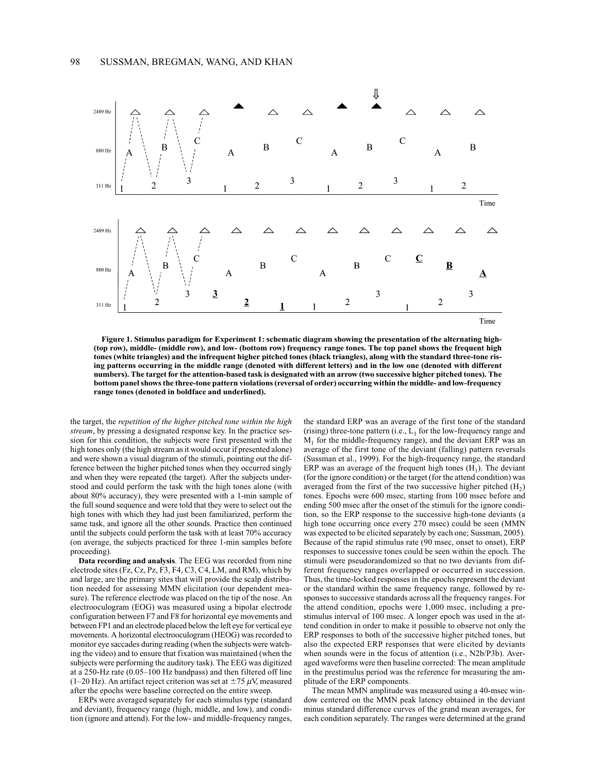

Figure 1. Stimulus paradigm for Experiment 1: schematic diagram showing the presentation of the alternating high-(top row), middle- (middle row), and low- (bottom row) frequency range tones. The top panel shows the frequent high tones (white triangles) and the infrequent higher pitched tones (black triangles), along with the standard three-tone rising patterns occurring in the middle range (denoted with different letters) and in the low one (denoted with different numbers). The target for the attention-based task is designated with an arrow (two successive higher pitched tones). The bottom panel shows the three-tone pattern violations (reversal of order) occurring within the middle- and low-frequency range tones (denoted in boldface and underlined).

the target, the repetition of the higher pitched tone within the high *stream*, by pressing a designated response key. In the practice session for this condition, the subjects were first presented with the high tones only (the high stream as it would occur if presented alone) and were shown a visual diagram of the stimuli, pointing out the difference between the higher pitched tones when they occurred singly and when they were repeated (the target). After the subjects understood and could perform the task with the high tones alone (with about 80% accuracy), they were presented with a 1-min sample of the full sound sequence and were told that they were to select out the high tones with which they had just been familiarized, perform the same task, and ignore all the other sounds. Practice then continued until the subjects could perform the task with at least 70% accuracy (on average, the subjects practiced for three 1-min samples before proceeding).

Data recording and analysis. The EEG was recorded from nine electrode sites (Fz, Cz, Pz, F3, F4, C3, C4, LM, and RM), which by and large, are the primary sites that will provide the scalp distribution needed for assessing MMN elicitation (our dependent measure). The reference electrode was placed on the tip of the nose. An electrooculogram (EOG) was measured using a bipolar electrode configuration between F7 and F8 for horizontal eve movements and between FP1 and an electrode placed below the left eye for vertical eye movements. A horizontal electrooculogram (HEOG) was recorded to monitor eye saccades during reading (when the subjects were watching the video) and to ensure that fixation was maintained (when the subjects were performing the auditory task). The EEG was digitized at a 250-Hz rate  $(0.05-100$  Hz bandpass) and then filtered off line (1-20 Hz). An artifact reject criterion was set at  $\pm$  75  $\mu$ V, measured after the epochs were baseline corrected on the entire sweep.

ERPs were averaged separately for each stimulus type (standard and deviant), frequency range (high, middle, and low), and condition (ignore and attend). For the low- and middle-frequency ranges, the standard ERP was an average of the first tone of the standard (rising) three-tone pattern (i.e.,  $L_1$  for the low-frequency range and  $M_1$  for the middle-frequency range), and the deviant ERP was an average of the first tone of the deviant (falling) pattern reversals (Sussman et al., 1999). For the high-frequency range, the standard ERP was an average of the frequent high tones  $(H_1)$ . The deviant (for the ignore condition) or the target (for the attend condition) was averaged from the first of the two successive higher pitched  $(H_2)$ tones. Epochs were 600 msec, starting from 100 msec before and ending 500 msec after the onset of the stimuli for the ignore condition, so the ERP response to the successive high-tone deviants (a high tone occurring once every 270 msec) could be seen (MMN) was expected to be elicited separately by each one; Sussman, 2005). Because of the rapid stimulus rate (90 msec, onset to onset), ERP responses to successive tones could be seen within the epoch. The stimuli were pseudorandomized so that no two deviants from different frequency ranges overlapped or occurred in succession. Thus, the time-locked responses in the epochs represent the deviant or the standard within the same frequency range, followed by responses to successive standards across all the frequency ranges. For the attend condition, epochs were 1,000 msec, including a prestimulus interval of 100 msec. A longer epoch was used in the attend condition in order to make it possible to observe not only the ERP responses to both of the successive higher pitched tones, but also the expected ERP responses that were elicited by deviants when sounds were in the focus of attention (i.e., N2b/P3b). Averaged waveforms were then baseline corrected: The mean amplitude in the prestimulus period was the reference for measuring the amplitude of the ERP components.

The mean MMN amplitude was measured using a 40-msec window centered on the MMN peak latency obtained in the deviant minus standard difference curves of the grand mean averages, for each condition separately. The ranges were determined at the grand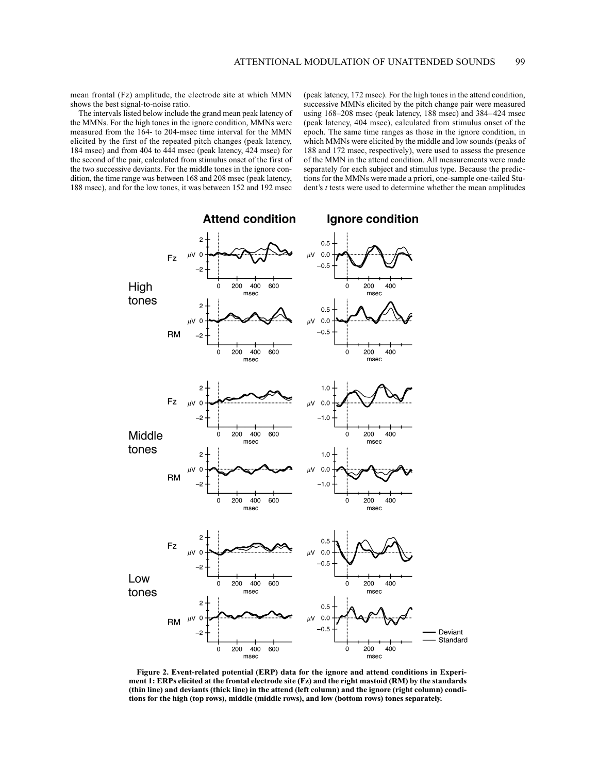mean frontal (Fz) amplitude, the electrode site at which MMN shows the best signal-to-noise ratio.

The intervals listed below include the grand mean peak latency of the MMNs. For the high tones in the ignore condition, MMNs were measured from the 164- to 204-msec time interval for the MMN elicited by the first of the repeated pitch changes (peak latency, 184 msec) and from 404 to 444 msec (peak latency, 424 msec) for the second of the pair, calculated from stimulus onset of the first of the two successive deviants. For the middle tones in the ignore condition, the time range was between 168 and 208 msec (peak latency, 188 msec), and for the low tones, it was between 152 and 192 msec

(peak latency, 172 msec). For the high tones in the attend condition, successive MMNs elicited by the pitch change pair were measured using 168–208 msec (peak latency, 188 msec) and 384–424 msec (peak latency, 404 msec), calculated from stimulus onset of the epoch. The same time ranges as those in the ignore condition, in which MMNs were elicited by the middle and low sounds (peaks of 188 and 172 msec, respectively), were used to assess the presence of the MMN in the attend condition. All measurements were made separately for each subject and stimulus type. Because the predictions for the MMNs were made a priori, one-sample one-tailed Student's  $t$  tests were used to determine whether the mean amplitudes



Figure 2. Event-related potential (ERP) data for the ignore and attend conditions in Experiment 1: ERPs elicited at the frontal electrode site (Fz) and the right mastoid (RM) by the standards (thin line) and deviants (thick line) in the attend (left column) and the ignore (right column) conditions for the high (top rows), middle (middle rows), and low (bottom rows) tones separately.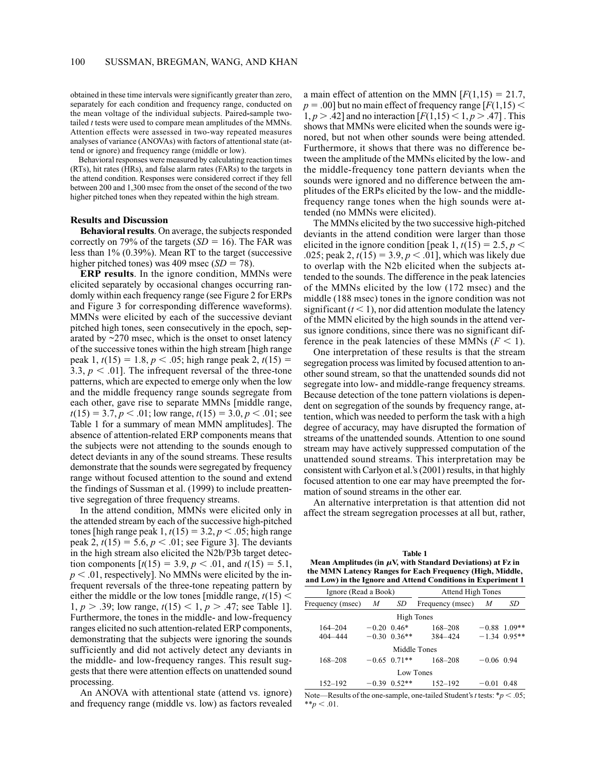obtained in these time intervals were significantly greater than zero, separately for each condition and frequency range, conducted on the mean voltage of the individual subjects. Paired-sample twotailed *t* tests were used to compare mean amplitudes of the MMNs. Attention effects were assessed in two-way repeated measures analyses of variance (ANOVAs) with factors of attentional state (attend or ignore) and frequency range (middle or low).

Behavioral responses were measured by calculating reaction times (RTs), hit rates (HRs), and false alarm rates (FARs) to the targets in the attend condition. Responses were considered correct if they fell between 200 and 1,300 msec from the onset of the second of the two higher pitched tones when they repeated within the high stream.

# **Results and Discussion**

**Behavioral results.** On average, the subjects responded correctly on 79% of the targets  $(SD = 16)$ . The FAR was less than  $1\%$  (0.39%). Mean RT to the target (successive higher pitched tones) was 409 msec  $(SD = 78)$ .

**ERP** results. In the ignore condition, MMNs were elicited separately by occasional changes occurring randomly within each frequency range (see Figure 2 for ERPs) and Figure 3 for corresponding difference waveforms). MMNs were elicited by each of the successive deviant pitched high tones, seen consecutively in the epoch, separated by  $\sim$ 270 msec, which is the onset to onset latency of the successive tones within the high stream [high range peak 1,  $t(15) = 1.8$ ,  $p < .05$ ; high range peak 2,  $t(15) =$ 3.3,  $p < .01$ ]. The infrequent reversal of the three-tone patterns, which are expected to emerge only when the low and the middle frequency range sounds segregate from each other, gave rise to separate MMNs [middle range,  $t(15) = 3.7, p < .01$ ; low range,  $t(15) = 3.0, p < .01$ ; see Table 1 for a summary of mean MMN amplitudes]. The absence of attention-related ERP components means that the subjects were not attending to the sounds enough to detect deviants in any of the sound streams. These results demonstrate that the sounds were segregated by frequency range without focused attention to the sound and extend the findings of Sussman et al. (1999) to include preattentive segregation of three frequency streams.

In the attend condition, MMNs were elicited only in the attended stream by each of the successive high-pitched tones [high range peak 1,  $t(15) = 3.2, p < .05$ ; high range peak 2,  $t(15) = 5.6, p < .01$ ; see Figure 3]. The deviants in the high stream also elicited the N2b/P3b target detection components  $[t(15) = 3.9, p < .01,$  and  $t(15) = 5.1,$  $p < .01$ , respectively]. No MMNs were elicited by the infrequent reversals of the three-tone repeating pattern by either the middle or the low tones [middle range,  $t(15)$  < 1,  $p > .39$ ; low range,  $t(15) < 1$ ,  $p > .47$ ; see Table 1]. Furthermore, the tones in the middle- and low-frequency ranges elicited no such attention-related ERP components, demonstrating that the subjects were ignoring the sounds sufficiently and did not actively detect any deviants in the middle- and low-frequency ranges. This result suggests that there were attention effects on unattended sound processing.

An ANOVA with attentional state (attend vs. ignore) and frequency range (middle vs. low) as factors revealed a main effect of attention on the MMN  $[F(1,15) = 21.7]$ ,  $p = .00$ ] but no main effect of frequency range [ $F(1,15)$  <  $1, p > .42$ ] and no interaction  $[F(1, 15) < 1, p > .47]$ . This shows that MMNs were elicited when the sounds were ignored, but not when other sounds were being attended. Furthermore, it shows that there was no difference between the amplitude of the MMNs elicited by the low- and the middle-frequency tone pattern deviants when the sounds were ignored and no difference between the amplitudes of the ERPs elicited by the low- and the middlefrequency range tones when the high sounds were attended (no MMNs were elicited).

The MMNs elicited by the two successive high-pitched deviants in the attend condition were larger than those elicited in the ignore condition [peak 1,  $t(15) = 2.5, p <$ .025; peak 2,  $t(15) = 3.9$ ,  $p < .01$ ], which was likely due to overlap with the N2b elicited when the subjects attended to the sounds. The difference in the peak latencies of the MMNs elicited by the low (172 msec) and the middle (188 msec) tones in the ignore condition was not significant  $(t < 1)$ , nor did attention modulate the latency of the MMN elicited by the high sounds in the attend versus ignore conditions, since there was no significant difference in the peak latencies of these MMNs ( $F < 1$ ).

One interpretation of these results is that the stream segregation process was limited by focused attention to another sound stream, so that the unattended sounds did not segregate into low- and middle-range frequency streams. Because detection of the tone pattern violations is dependent on segregation of the sounds by frequency range, attention, which was needed to perform the task with a high degree of accuracy, may have disrupted the formation of streams of the unattended sounds. Attention to one sound stream may have actively suppressed computation of the unattended sound streams. This interpretation may be consistent with Carlyon et al.'s (2001) results, in that highly focused attention to one ear may have preempted the formation of sound streams in the other ear.

An alternative interpretation is that attention did not affect the stream segregation processes at all but, rather,

| Table 1                                                         |
|-----------------------------------------------------------------|
| Mean Amplitudes (in $\mu$ V, with Standard Deviations) at Fz in |
| the MMN Latency Ranges for Each Frequency (High, Middle,        |
| and Low) in the Ignore and Attend Conditions in Experiment 1    |

| and Low In the Ignore and Tutting Conditions in Experiment I |                           |                  |                          |              |                |  |  |
|--------------------------------------------------------------|---------------------------|------------------|--------------------------|--------------|----------------|--|--|
| Ignore (Read a Book)                                         |                           |                  | <b>Attend High Tones</b> |              |                |  |  |
| Frequency (msec)<br>SD<br>M                                  |                           | Frequency (msec) | M                        | SD           |                |  |  |
|                                                              |                           |                  | High Tones               |              |                |  |  |
| $164 - 204$                                                  | $-0.20$ 0.46 <sup>*</sup> |                  | $168 - 208$              |              | $-0.88$ 1.09** |  |  |
| $404 - 444$                                                  |                           | $-0.30$ $0.36**$ | 384-424                  |              | $-1.34$ 0.95** |  |  |
|                                                              |                           |                  | Middle Tones             |              |                |  |  |
| 168-208                                                      |                           | $-0.65$ 0.71**   | $168 - 208$              | $-0.06$ 0.94 |                |  |  |
|                                                              |                           |                  | Low Tones                |              |                |  |  |
| $152 - 192$                                                  | $-0.39$                   | $0.52**$         | $152 - 192$              | $-0.01$      | 0.48           |  |  |

Note—Results of the one-sample, one-tailed Student's *t* tests:  $* p < .05$ ; \*\* $p < .01$ .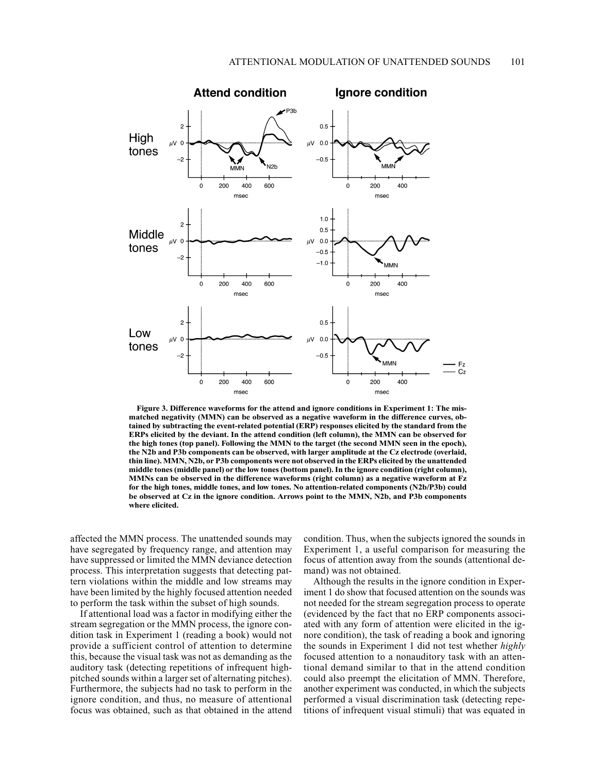

Figure 3. Difference waveforms for the attend and ignore conditions in Experiment 1: The mismatched negativity (MMN) can be observed as a negative waveform in the difference curves, obtained by subtracting the event-related potential (ERP) responses elicited by the standard from the ERPs elicited by the deviant. In the attend condition (left column), the MMN can be observed for the high tones (top panel). Following the MMN to the target (the second MMN seen in the epoch), the N2b and P3b components can be observed, with larger amplitude at the Cz electrode (overlaid, thin line). MMN, N2b, or P3b components were not observed in the ERPs elicited by the unattended middle tones (middle panel) or the low tones (bottom panel). In the ignore condition (right column), MMNs can be observed in the difference waveforms (right column) as a negative waveform at Fz for the high tones, middle tones, and low tones. No attention-related components (N2b/P3b) could be observed at Cz in the ignore condition. Arrows point to the MMN, N2b, and P3b components where elicited.

affected the MMN process. The unattended sounds may have segregated by frequency range, and attention may have suppressed or limited the MMN deviance detection process. This interpretation suggests that detecting pattern violations within the middle and low streams may have been limited by the highly focused attention needed to perform the task within the subset of high sounds.

If attentional load was a factor in modifying either the stream segregation or the MMN process, the ignore condition task in Experiment 1 (reading a book) would not provide a sufficient control of attention to determine this, because the visual task was not as demanding as the auditory task (detecting repetitions of infrequent highpitched sounds within a larger set of alternating pitches). Furthermore, the subjects had no task to perform in the ignore condition, and thus, no measure of attentional focus was obtained, such as that obtained in the attend condition. Thus, when the subjects ignored the sounds in Experiment 1, a useful comparison for measuring the focus of attention away from the sounds (attentional demand) was not obtained.

Although the results in the ignore condition in Experiment 1 do show that focused attention on the sounds was not needed for the stream segregation process to operate (evidenced by the fact that no ERP components associated with any form of attention were elicited in the ignore condition), the task of reading a book and ignoring the sounds in Experiment 1 did not test whether *highly* focused attention to a nonauditory task with an attentional demand similar to that in the attend condition could also preempt the elicitation of MMN. Therefore, another experiment was conducted, in which the subjects performed a visual discrimination task (detecting repetitions of infrequent visual stimuli) that was equated in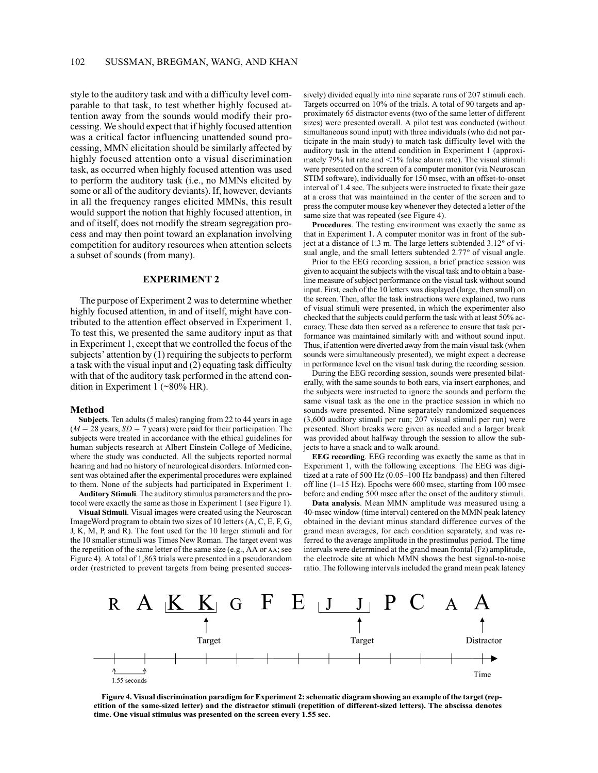style to the auditory task and with a difficulty level comparable to that task, to test whether highly focused attention away from the sounds would modify their processing. We should expect that if highly focused attention was a critical factor influencing unattended sound processing, MMN elicitation should be similarly affected by highly focused attention onto a visual discrimination task, as occurred when highly focused attention was used to perform the auditory task (i.e., no MMNs elicited by some or all of the auditory deviants). If, however, deviants in all the frequency ranges elicited MMNs, this result would support the notion that highly focused attention, in and of itself, does not modify the stream segregation process and may then point toward an explanation involving competition for auditory resources when attention selects a subset of sounds (from many).

## **EXPERIMENT 2**

The purpose of Experiment 2 was to determine whether highly focused attention, in and of itself, might have contributed to the attention effect observed in Experiment 1. To test this, we presented the same auditory input as that in Experiment 1, except that we controlled the focus of the subjects' attention by  $(1)$  requiring the subjects to perform a task with the visual input and (2) equating task difficulty with that of the auditory task performed in the attend condition in Experiment 1 ( $\sim 80\%$  HR).

#### **Method**

**Subjects.** Ten adults (5 males) ranging from 22 to 44 years in age  $(M = 28 \text{ years}, SD = 7 \text{ years})$  were paid for their participation. The subjects were treated in accordance with the ethical guidelines for human subjects research at Albert Einstein College of Medicine, where the study was conducted. All the subjects reported normal hearing and had no history of neurological disorders. Informed consent was obtained after the experimental procedures were explained to them. None of the subjects had participated in Experiment 1.

**Auditory Stimuli.** The auditory stimulus parameters and the protocol were exactly the same as those in Experiment 1 (see Figure 1).

Visual Stimuli. Visual images were created using the Neuroscan ImageWord program to obtain two sizes of 10 letters (A, C, E, F, G, J, K, M, P, and R). The font used for the 10 larger stimuli and for the 10 smaller stimuli was Times New Roman. The target event was the repetition of the same letter of the same size (e.g., AA or AA; see Figure 4). A total of 1,863 trials were presented in a pseudorandom order (restricted to prevent targets from being presented successively) divided equally into nine separate runs of 207 stimuli each. Targets occurred on 10% of the trials. A total of 90 targets and approximately 65 distractor events (two of the same letter of different sizes) were presented overall. A pilot test was conducted (without simultaneous sound input) with three individuals (who did not participate in the main study) to match task difficulty level with the auditory task in the attend condition in Experiment 1 (approximately 79% hit rate and  $\leq$ 1% false alarm rate). The visual stimuli were presented on the screen of a computer monitor (via Neuroscan STIM software), individually for 150 msec, with an offset-to-onset interval of 1.4 sec. The subjects were instructed to fixate their gaze at a cross that was maintained in the center of the screen and to press the computer mouse key whenever they detected a letter of the same size that was repeated (see Figure 4).

Procedures. The testing environment was exactly the same as that in Experiment 1. A computer monitor was in front of the subject at a distance of 1.3 m. The large letters subtended 3.12° of visual angle, and the small letters subtended 2.77° of visual angle.

Prior to the EEG recording session, a brief practice session was given to acquaint the subjects with the visual task and to obtain a baseline measure of subject performance on the visual task without sound input. First, each of the 10 letters was displayed (large, then small) on the screen. Then, after the task instructions were explained, two runs of visual stimuli were presented, in which the experimenter also checked that the subjects could perform the task with at least 50% accuracy. These data then served as a reference to ensure that task performance was maintained similarly with and without sound input. Thus, if attention were diverted away from the main visual task (when sounds were simultaneously presented), we might expect a decrease in performance level on the visual task during the recording session.

During the EEG recording session, sounds were presented bilaterally, with the same sounds to both ears, via insert earphones, and the subjects were instructed to ignore the sounds and perform the same visual task as the one in the practice session in which no sounds were presented. Nine separately randomized sequences  $(3,600$  auditory stimuli per run; 207 visual stimuli per run) were presented. Short breaks were given as needed and a larger break was provided about halfway through the session to allow the subjects to have a snack and to walk around.

EEG recording. EEG recording was exactly the same as that in Experiment 1, with the following exceptions. The EEG was digitized at a rate of 500 Hz  $(0.05-100$  Hz bandpass) and then filtered off line  $(1-15 \text{ Hz})$ . Epochs were 600 msec, starting from 100 msec before and ending 500 msec after the onset of the auditory stimuli.

Data analysis. Mean MMN amplitude was measured using a 40-msec window (time interval) centered on the MMN peak latency obtained in the deviant minus standard difference curves of the grand mean averages, for each condition separately, and was referred to the average amplitude in the prestimulus period. The time intervals were determined at the grand mean frontal (Fz) amplitude, the electrode site at which MMN shows the best signal-to-noise ratio. The following intervals included the grand mean peak latency



Figure 4. Visual discrimination paradigm for Experiment 2: schematic diagram showing an example of the target (repetition of the same-sized letter) and the distractor stimuli (repetition of different-sized letters). The abscissa denotes time. One visual stimulus was presented on the screen every 1.55 sec.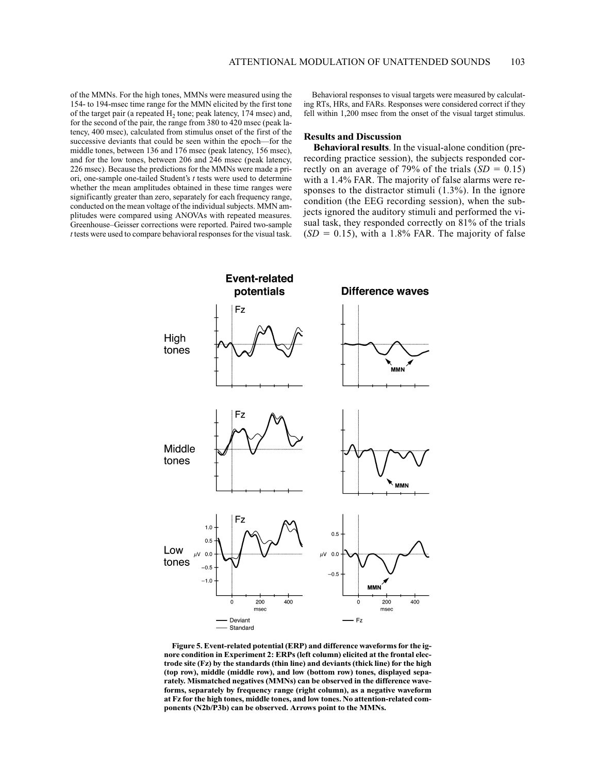of the MMNs. For the high tones, MMNs were measured using the 154- to 194-msec time range for the MMN elicited by the first tone of the target pair (a repeated  $H_2$  tone; peak latency, 174 msec) and, for the second of the pair, the range from 380 to 420 msec (peak latency, 400 msec), calculated from stimulus onset of the first of the successive deviants that could be seen within the epoch—for the middle tones, between 136 and 176 msec (peak latency, 156 msec), and for the low tones, between 206 and 246 msec (peak latency, 226 msec). Because the predictions for the MMNs were made a priori, one-sample one-tailed Student's t tests were used to determine whether the mean amplitudes obtained in these time ranges were significantly greater than zero, separately for each frequency range. conducted on the mean voltage of the individual subjects. MMN amplitudes were compared using ANOVAs with repeated measures. Greenhouse-Geisser corrections were reported. Paired two-sample t tests were used to compare behavioral responses for the visual task.

Behavioral responses to visual targets were measured by calculating RTs, HRs, and FARs. Responses were considered correct if they fell within 1.200 msec from the onset of the visual target stimulus.

# **Results and Discussion**

**Behavioral results.** In the visual-alone condition (prerecording practice session), the subjects responded correctly on an average of 79% of the trials  $(SD = 0.15)$ with a 1.4% FAR. The majority of false alarms were responses to the distractor stimuli  $(1.3\%)$ . In the ignore condition (the EEG recording session), when the subjects ignored the auditory stimuli and performed the visual task, they responded correctly on 81% of the trials  $(SD = 0.15)$ , with a 1.8% FAR. The majority of false



Figure 5. Event-related potential (ERP) and difference waveforms for the ignore condition in Experiment 2: ERPs (left column) elicited at the frontal electrode site (Fz) by the standards (thin line) and deviants (thick line) for the high (top row), middle (middle row), and low (bottom row) tones, displayed separately. Mismatched negatives (MMNs) can be observed in the difference waveforms, separately by frequency range (right column), as a negative waveform at Fz for the high tones, middle tones, and low tones. No attention-related components (N2b/P3b) can be observed. Arrows point to the MMNs.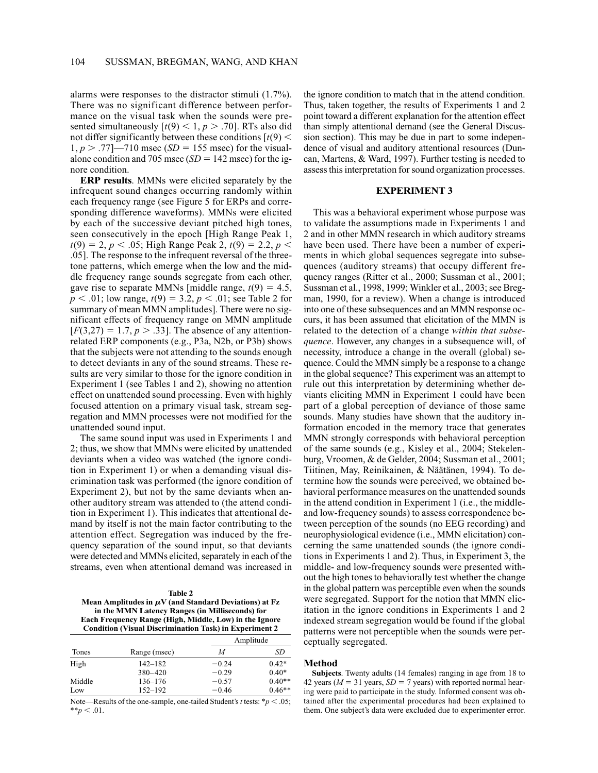alarms were responses to the distractor stimuli  $(1.7\%)$ . There was no significant difference between performance on the visual task when the sounds were presented simultaneously  $[t(9) < 1, p > .70]$ . RTs also did not differ significantly between these conditions  $\left[t(9)\right]$  $1, p > .77$ ]—710 msec (SD = 155 msec) for the visualalone condition and 705 msec ( $SD = 142$  msec) for the ignore condition.

**ERP** results. MMNs were elicited separately by the infrequent sound changes occurring randomly within each frequency range (see Figure 5 for ERPs and corresponding difference waveforms). MMNs were elicited by each of the successive deviant pitched high tones, seen consecutively in the epoch [High Range Peak 1,  $t(9) = 2$ ,  $p < .05$ ; High Range Peak 2,  $t(9) = 2.2$ ,  $p <$ .05]. The response to the infrequent reversal of the threetone patterns, which emerge when the low and the middle frequency range sounds segregate from each other, gave rise to separate MMNs [middle range,  $t(9) = 4.5$ ,  $p < .01$ ; low range,  $t(9) = 3.2$ ,  $p < .01$ ; see Table 2 for summary of mean MMN amplitudes]. There were no significant effects of frequency range on MMN amplitude  $[F(3,27) = 1.7, p > .33]$ . The absence of any attentionrelated ERP components (e.g., P3a, N2b, or P3b) shows that the subjects were not attending to the sounds enough to detect deviants in any of the sound streams. These results are very similar to those for the ignore condition in Experiment 1 (see Tables 1 and 2), showing no attention effect on unattended sound processing. Even with highly focused attention on a primary visual task, stream segregation and MMN processes were not modified for the unattended sound input.

The same sound input was used in Experiments 1 and 2; thus, we show that MMNs were elicited by unattended deviants when a video was watched (the ignore condition in Experiment 1) or when a demanding visual discrimination task was performed (the ignore condition of Experiment 2), but not by the same deviants when another auditory stream was attended to (the attend condition in Experiment 1). This indicates that attentional demand by itself is not the main factor contributing to the attention effect. Segregation was induced by the frequency separation of the sound input, so that deviants were detected and MMNs elicited, separately in each of the streams, even when attentional demand was increased in

Table 2 Mean Amplitudes in  $\mu$ V (and Standard Deviations) at Fz in the MMN Latency Ranges (in Milliseconds) for Each Frequency Range (High, Middle, Low) in the Ignore **Condition (Visual Discrimination Task) in Experiment 2** 

| Tones  |              | Amplitude |          |  |
|--------|--------------|-----------|----------|--|
|        | Range (msec) | M         | SD       |  |
| High   | $142 - 182$  | $-0.24$   | $0.42*$  |  |
|        | $380 - 420$  | $-0.29$   | $0.40*$  |  |
| Middle | 136–176      | $-0.57$   | $0.40**$ |  |
| Low    | $152 - 192$  | $-0.46$   | $0.46**$ |  |

Note—Results of the one-sample, one-tailed Student's *t* tests:  $*p < .05$ ; \*\* $p < .01$ .

the ignore condition to match that in the attend condition. Thus, taken together, the results of Experiments 1 and 2 point toward a different explanation for the attention effect than simply attentional demand (see the General Discussion section). This may be due in part to some independence of visual and auditory attentional resources (Duncan, Martens, & Ward, 1997). Further testing is needed to assess this interpretation for sound organization processes.

## **EXPERIMENT 3**

This was a behavioral experiment whose purpose was to validate the assumptions made in Experiments 1 and 2 and in other MMN research in which auditory streams have been used. There have been a number of experiments in which global sequences segregate into subsequences (auditory streams) that occupy different frequency ranges (Ritter et al., 2000; Sussman et al., 2001; Sussman et al., 1998, 1999; Winkler et al., 2003; see Bregman, 1990, for a review). When a change is introduced into one of these subsequences and an MMN response occurs, it has been assumed that elicitation of the MMN is related to the detection of a change within that subse*quence*. However, any changes in a subsequence will, of necessity, introduce a change in the overall (global) sequence. Could the MMN simply be a response to a change in the global sequence? This experiment was an attempt to rule out this interpretation by determining whether deviants eliciting MMN in Experiment 1 could have been part of a global perception of deviance of those same sounds. Many studies have shown that the auditory information encoded in the memory trace that generates MMN strongly corresponds with behavioral perception of the same sounds (e.g., Kisley et al., 2004; Stekelenburg, Vroomen, & de Gelder, 2004; Sussman et al., 2001; Tiitinen, May, Reinikainen, & Näätänen, 1994). To determine how the sounds were perceived, we obtained behavioral performance measures on the unattended sounds in the attend condition in Experiment 1 (*i.e.*, the middleand low-frequency sounds) to assess correspondence between perception of the sounds (no EEG recording) and neurophysiological evidence (*i.e.*, MMN elicitation) concerning the same unattended sounds (the ignore conditions in Experiments 1 and 2). Thus, in Experiment 3, the middle- and low-frequency sounds were presented without the high tones to behaviorally test whether the change in the global pattern was perceptible even when the sounds were segregated. Support for the notion that MMN elicitation in the ignore conditions in Experiments 1 and 2 indexed stream segregation would be found if the global patterns were not perceptible when the sounds were perceptually segregated.

## **Method**

Subjects. Twenty adults (14 females) ranging in age from 18 to 42 years ( $M = 31$  years,  $SD = 7$  years) with reported normal hearing were paid to participate in the study. Informed consent was obtained after the experimental procedures had been explained to them. One subject's data were excluded due to experimenter error.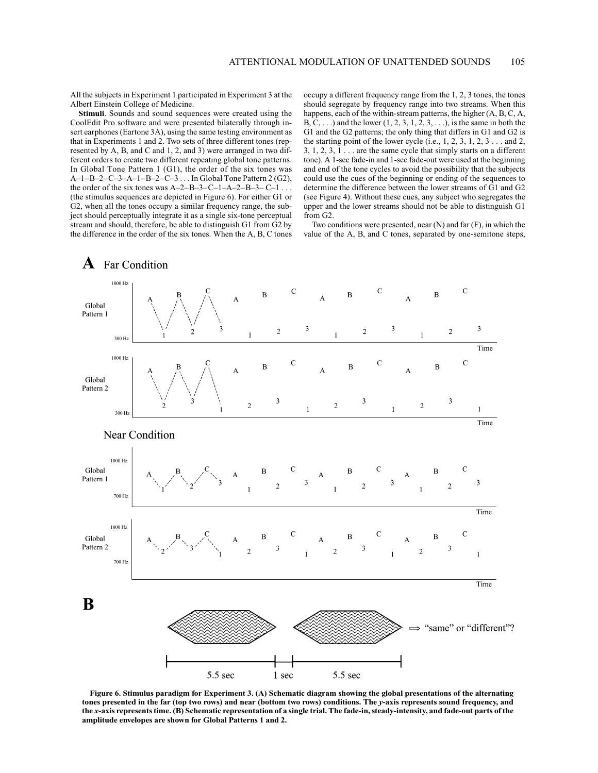All the subjects in Experiment 1 participated in Experiment 3 at the Albert Einstein College of Medicine.

Stimuli. Sounds and sound sequences were created using the CoolEdit Pro software and were presented bilaterally through insert earphones (Eartone 3A), using the same testing environment as that in Experiments 1 and 2. Two sets of three different tones (represented by A, B, and C and 1, 2, and 3) were arranged in two different orders to create two different repeating global tone patterns. In Global Tone Pattern  $1$  (G1), the order of the six tones was A-1-B-2-C-3-A-1-B-2-C-3... In Global Tone Pattern 2 (G2). the order of the six tones was A-2-B-3-C-1-A-2-B-3-C-1... (the stimulus sequences are depicted in Figure 6). For either G1 or G2, when all the tones occupy a similar frequency range, the subject should perceptually integrate it as a single six-tone perceptual stream and should, therefore, be able to distinguish G1 from G2 by the difference in the order of the six tones. When the A, B, C tones

occupy a different frequency range from the 1, 2, 3 tones, the tones should segregate by frequency range into two streams. When this happens, each of the within-stream patterns, the higher (A, B, C, A, B, C, ... ) and the lower  $(1, 2, 3, 1, 2, 3, ...)$ , is the same in both the G1 and the G2 patterns; the only thing that differs in G1 and G2 is the starting point of the lower cycle (i.e., 1, 2, 3, 1, 2, 3... and 2,  $3, 1, 2, 3, 1, \ldots$  are the same cycle that simply starts on a different tone). A 1-sec fade-in and 1-sec fade-out were used at the beginning and end of the tone cycles to avoid the possibility that the subjects could use the cues of the beginning or ending of the sequences to determine the difference between the lower streams of G1 and G2 (see Figure 4). Without these cues, any subject who segregates the upper and the lower streams should not be able to distinguish G1 from G2.

Two conditions were presented, near  $(N)$  and far  $(F)$ , in which the value of the A, B, and C tones, separated by one-semitone steps,



Figure 6. Stimulus paradigm for Experiment 3. (A) Schematic diagram showing the global presentations of the alternating tones presented in the far (top two rows) and near (bottom two rows) conditions. The y-axis represents sound frequency, and the x-axis represents time. (B) Schematic representation of a single trial. The fade-in, steady-intensity, and fade-out parts of the amplitude envelopes are shown for Global Patterns 1 and 2.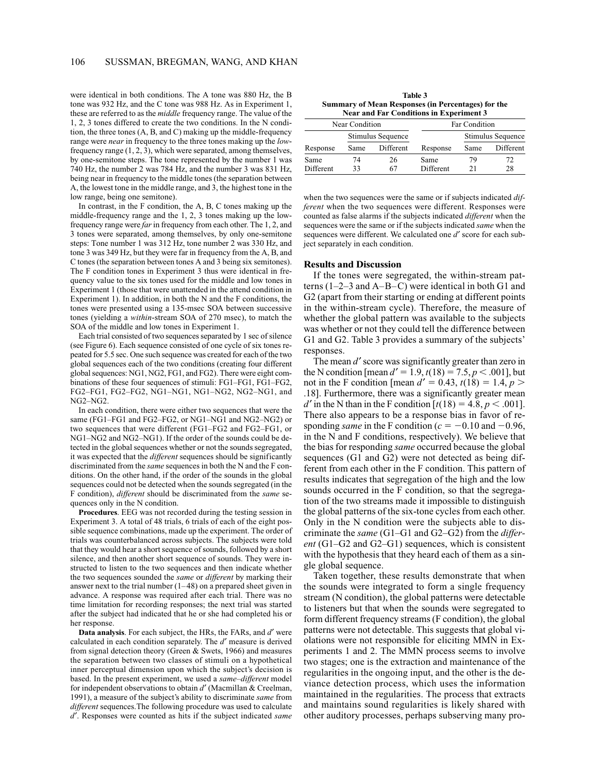were identical in both conditions. The A tone was 880 Hz, the B tone was 932 Hz, and the C tone was 988 Hz. As in Experiment 1. these are referred to as the *middle* frequency range. The value of the 1, 2, 3 tones differed to create the two conditions. In the N condition, the three tones  $(A, B, and C)$  making up the middle-frequency range were *near* in frequency to the three tones making up the *low*frequency range  $(1, 2, 3)$ , which were separated, among themselves, by one-semitone steps. The tone represented by the number 1 was 740 Hz, the number 2 was 784 Hz, and the number 3 was 831 Hz. being near in frequency to the middle tones (the separation between A, the lowest tone in the middle range, and 3, the highest tone in the low range, being one semitone).

In contrast, in the F condition, the A, B, C tones making up the middle-frequency range and the 1, 2, 3 tones making up the lowfrequency range were far in frequency from each other. The 1, 2, and 3 tones were separated, among themselves, by only one-semitone steps: Tone number 1 was 312 Hz, tone number 2 was 330 Hz, and tone 3 was 349 Hz, but they were far in frequency from the A, B, and C tones (the separation between tones A and 3 being six semitones). The F condition tones in Experiment 3 thus were identical in frequency value to the six tones used for the middle and low tones in Experiment 1 (those that were unattended in the attend condition in Experiment 1). In addition, in both the N and the F conditions, the tones were presented using a 135-msec SOA between successive tones (yielding a within-stream SOA of 270 msec), to match the SOA of the middle and low tones in Experiment 1.

Each trial consisted of two sequences separated by 1 sec of silence (see Figure 6). Each sequence consisted of one cycle of six tones repeated for 5.5 sec. One such sequence was created for each of the two global sequences each of the two conditions (creating four different global sequences: NG1, NG2, FG1, and FG2). There were eight combinations of these four sequences of stimuli: FG1-FG1, FG1-FG2, FG2-FG1, FG2-FG2, NG1-NG1, NG1-NG2, NG2-NG1, and NG2-NG2.

In each condition, there were either two sequences that were the same (FG1–FG1 and FG2–FG2, or NG1–NG1 and NG2–NG2) or two sequences that were different (FG1-FG2 and FG2-FG1, or NG1-NG2 and NG2-NG1). If the order of the sounds could be detected in the global sequences whether or not the sounds segregated, it was expected that the *different* sequences should be significantly discriminated from the *same* sequences in both the N and the F conditions. On the other hand, if the order of the sounds in the global sequences could not be detected when the sounds segregated (in the F condition), *different* should be discriminated from the *same* sequences only in the N condition.

Procedures. EEG was not recorded during the testing session in Experiment 3. A total of 48 trials, 6 trials of each of the eight possible sequence combinations, made up the experiment. The order of trials was counterbalanced across subjects. The subjects were told that they would hear a short sequence of sounds, followed by a short silence, and then another short sequence of sounds. They were instructed to listen to the two sequences and then indicate whether the two sequences sounded the same or different by marking their answer next to the trial number  $(1-48)$  on a prepared sheet given in advance. A response was required after each trial. There was no time limitation for recording responses; the next trial was started after the subject had indicated that he or she had completed his or her response.

Data analysis. For each subject, the HRs, the FARs, and d' were calculated in each condition separately. The  $d'$  measure is derived from signal detection theory (Green & Swets, 1966) and measures the separation between two classes of stimuli on a hypothetical inner perceptual dimension upon which the subject's decision is based. In the present experiment, we used a same-different model for independent observations to obtain  $d'$  (Macmillan & Creelman, 1991), a measure of the subject's ability to discriminate same from different sequences. The following procedure was used to calculate  $d'$ . Responses were counted as hits if the subject indicated same

Table 3 **Summary of Mean Responses (in Percentages) for the Near and Far Conditions in Experiment 3** 

| Near Condition    |      |           | Far Condition |                   |           |
|-------------------|------|-----------|---------------|-------------------|-----------|
| Stimulus Sequence |      |           |               | Stimulus Sequence |           |
| Response          | Same | Different | Response      | Same              | Different |
| Same              | 74   | 26        | Same          | 79                | 72        |
| Different         | 33   | 67        | Different     | 21                | 28        |

when the two sequences were the same or if subjects indicated dif*ferent* when the two sequences were different. Responses were counted as false alarms if the subjects indicated different when the sequences were the same or if the subjects indicated same when the sequences were different. We calculated one d' score for each subject separately in each condition.

## **Results and Discussion**

If the tones were segregated, the within-stream patterns  $(1-2-3$  and  $A-B-C$ ) were identical in both G1 and G2 (apart from their starting or ending at different points in the within-stream cycle). Therefore, the measure of whether the global pattern was available to the subjects was whether or not they could tell the difference between G1 and G2. Table 3 provides a summary of the subjects' responses.

The mean  $d'$  score was significantly greater than zero in the N condition [mean  $d' = 1.9$ ,  $t(18) = 7.5$ ,  $p < .001$ ], but not in the F condition [mean  $d' = 0.43$ ,  $t(18) = 1.4$ ,  $p >$ .18]. Furthermore, there was a significantly greater mean d' in the N than in the F condition  $\lceil t(18) = 4.8, p < .001 \rceil$ . There also appears to be a response bias in favor of responding *same* in the F condition ( $c = -0.10$  and  $-0.96$ , in the N and F conditions, respectively). We believe that the bias for responding *same* occurred because the global sequences (G1 and G2) were not detected as being different from each other in the F condition. This pattern of results indicates that segregation of the high and the low sounds occurred in the F condition, so that the segregation of the two streams made it impossible to distinguish the global patterns of the six-tone cycles from each other. Only in the N condition were the subjects able to discriminate the *same* (G1–G1 and G2–G2) from the *different* (G1–G2 and G2–G1) sequences, which is consistent with the hypothesis that they heard each of them as a single global sequence.

Taken together, these results demonstrate that when the sounds were integrated to form a single frequency stream (N condition), the global patterns were detectable to listeners but that when the sounds were segregated to form different frequency streams (F condition), the global patterns were not detectable. This suggests that global violations were not responsible for eliciting MMN in Experiments 1 and 2. The MMN process seems to involve two stages; one is the extraction and maintenance of the regularities in the ongoing input, and the other is the deviance detection process, which uses the information maintained in the regularities. The process that extracts and maintains sound regularities is likely shared with other auditory processes, perhaps subserving many pro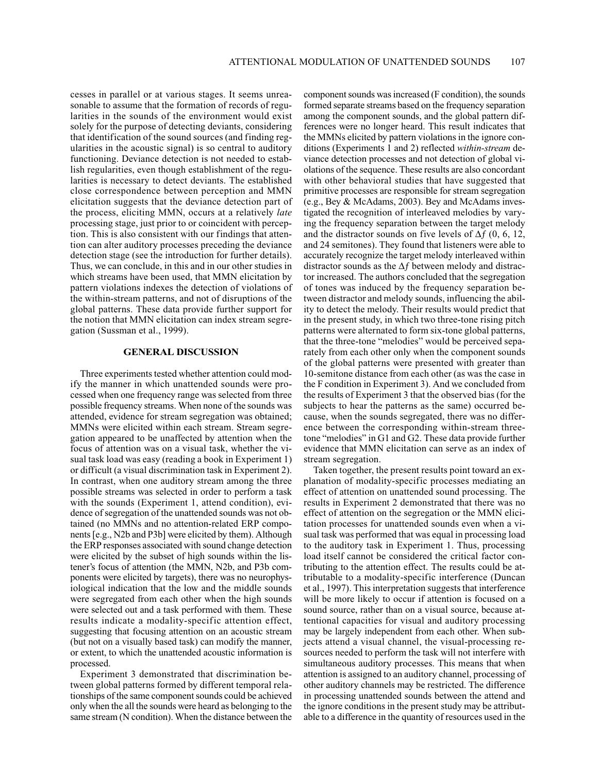cesses in parallel or at various stages. It seems unreasonable to assume that the formation of records of regularities in the sounds of the environment would exist solely for the purpose of detecting deviants, considering that identification of the sound sources (and finding regularities in the acoustic signal) is so central to auditory functioning. Deviance detection is not needed to establish regularities, even though establishment of the regularities is necessary to detect deviants. The established close correspondence between perception and MMN elicitation suggests that the deviance detection part of the process, eliciting MMN, occurs at a relatively late processing stage, just prior to or coincident with perception. This is also consistent with our findings that attention can alter auditory processes preceding the deviance detection stage (see the introduction for further details). Thus, we can conclude, in this and in our other studies in which streams have been used, that MMN elicitation by pattern violations indexes the detection of violations of the within-stream patterns, and not of disruptions of the global patterns. These data provide further support for the notion that MMN elicitation can index stream segregation (Sussman et al., 1999).

## **GENERAL DISCUSSION**

Three experiments tested whether attention could modify the manner in which unattended sounds were processed when one frequency range was selected from three possible frequency streams. When none of the sounds was attended, evidence for stream segregation was obtained; MMNs were elicited within each stream. Stream segregation appeared to be unaffected by attention when the focus of attention was on a visual task, whether the visual task load was easy (reading a book in Experiment 1) or difficult (a visual discrimination task in Experiment 2). In contrast, when one auditory stream among the three possible streams was selected in order to perform a task with the sounds (Experiment 1, attend condition), evidence of segregation of the unattended sounds was not obtained (no MMNs and no attention-related ERP components [e.g., N2b and P3b] were elicited by them). Although the ERP responses associated with sound change detection were elicited by the subset of high sounds within the listener's focus of attention (the MMN, N2b, and P3b components were elicited by targets), there was no neurophysiological indication that the low and the middle sounds were segregated from each other when the high sounds were selected out and a task performed with them. These results indicate a modality-specific attention effect, suggesting that focusing attention on an acoustic stream (but not on a visually based task) can modify the manner, or extent, to which the unattended acoustic information is processed.

Experiment 3 demonstrated that discrimination between global patterns formed by different temporal relationships of the same component sounds could be achieved only when the all the sounds were heard as belonging to the same stream (N condition). When the distance between the

component sounds was increased (F condition), the sounds formed separate streams based on the frequency separation among the component sounds, and the global pattern differences were no longer heard. This result indicates that the MMNs elicited by pattern violations in the ignore conditions (Experiments 1 and 2) reflected within-stream deviance detection processes and not detection of global violations of the sequence. These results are also concordant with other behavioral studies that have suggested that primitive processes are responsible for stream segregation (e.g., Bey & McAdams, 2003). Bey and McAdams investigated the recognition of interleaved melodies by varying the frequency separation between the target melody and the distractor sounds on five levels of  $\Delta f$  (0, 6, 12, and 24 semitones). They found that listeners were able to accurately recognize the target melody interleaved within distractor sounds as the  $\Delta f$  between melody and distractor increased. The authors concluded that the segregation of tones was induced by the frequency separation between distractor and melody sounds, influencing the ability to detect the melody. Their results would predict that in the present study, in which two three-tone rising pitch patterns were alternated to form six-tone global patterns, that the three-tone "melodies" would be perceived separately from each other only when the component sounds of the global patterns were presented with greater than 10-semitone distance from each other (as was the case in the F condition in Experiment 3). And we concluded from the results of Experiment 3 that the observed bias (for the subjects to hear the patterns as the same) occurred because, when the sounds segregated, there was no difference between the corresponding within-stream threetone "melodies" in G1 and G2. These data provide further evidence that MMN elicitation can serve as an index of stream segregation.

Taken together, the present results point toward an explanation of modality-specific processes mediating an effect of attention on unattended sound processing. The results in Experiment 2 demonstrated that there was no effect of attention on the segregation or the MMN elicitation processes for unattended sounds even when a visual task was performed that was equal in processing load to the auditory task in Experiment 1. Thus, processing load itself cannot be considered the critical factor contributing to the attention effect. The results could be attributable to a modality-specific interference (Duncan et al., 1997). This interpretation suggests that interference will be more likely to occur if attention is focused on a sound source, rather than on a visual source, because attentional capacities for visual and auditory processing may be largely independent from each other. When subjects attend a visual channel, the visual-processing resources needed to perform the task will not interfere with simultaneous auditory processes. This means that when attention is assigned to an auditory channel, processing of other auditory channels may be restricted. The difference in processing unattended sounds between the attend and the ignore conditions in the present study may be attributable to a difference in the quantity of resources used in the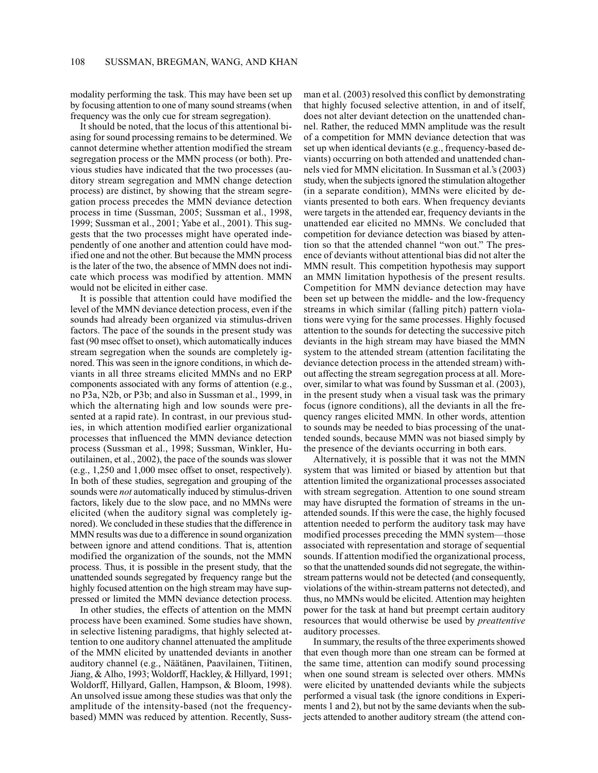modality performing the task. This may have been set up by focusing attention to one of many sound streams (when frequency was the only cue for stream segregation).

It should be noted, that the locus of this attentional biasing for sound processing remains to be determined. We cannot determine whether attention modified the stream segregation process or the MMN process (or both). Previous studies have indicated that the two processes (auditory stream segregation and MMN change detection process) are distinct, by showing that the stream segregation process precedes the MMN deviance detection process in time (Sussman, 2005; Sussman et al., 1998, 1999; Sussman et al., 2001; Yabe et al., 2001). This suggests that the two processes might have operated independently of one another and attention could have modified one and not the other. But because the MMN process is the later of the two, the absence of MMN does not indicate which process was modified by attention. MMN would not be elicited in either case.

It is possible that attention could have modified the level of the MMN deviance detection process, even if the sounds had already been organized via stimulus-driven factors. The pace of the sounds in the present study was fast (90 msec offset to onset), which automatically induces stream segregation when the sounds are completely ignored. This was seen in the ignore conditions, in which deviants in all three streams elicited MMNs and no ERP components associated with any forms of attention (e.g., no P3a, N2b, or P3b; and also in Sussman et al., 1999, in which the alternating high and low sounds were presented at a rapid rate). In contrast, in our previous studies, in which attention modified earlier organizational processes that influenced the MMN deviance detection process (Sussman et al., 1998; Sussman, Winkler, Huoutilainen, et al., 2002), the pace of the sounds was slower  $(e.g., 1,250, and 1,000, and 1,000)$  msec offset to onset, respectively). In both of these studies, segregation and grouping of the sounds were *not* automatically induced by stimulus-driven factors, likely due to the slow pace, and no MMNs were elicited (when the auditory signal was completely ignored). We concluded in these studies that the difference in MMN results was due to a difference in sound organization between ignore and attend conditions. That is, attention modified the organization of the sounds, not the MMN process. Thus, it is possible in the present study, that the unattended sounds segregated by frequency range but the highly focused attention on the high stream may have suppressed or limited the MMN deviance detection process.

In other studies, the effects of attention on the MMN process have been examined. Some studies have shown, in selective listening paradigms, that highly selected attention to one auditory channel attenuated the amplitude of the MMN elicited by unattended deviants in another auditory channel (e.g., Näätänen, Paavilainen, Tiitinen, Jiang, & Alho, 1993; Woldorff, Hackley, & Hillyard, 1991; Woldorff, Hillyard, Gallen, Hampson, & Bloom, 1998). An unsolved issue among these studies was that only the amplitude of the intensity-based (not the frequencybased) MMN was reduced by attention. Recently, Sussman et al. (2003) resolved this conflict by demonstrating that highly focused selective attention, in and of itself, does not alter deviant detection on the unattended channel. Rather, the reduced MMN amplitude was the result of a competition for MMN deviance detection that was set up when identical deviants (e.g., frequency-based deviants) occurring on both attended and unattended channels vied for MMN elicitation. In Sussman et al.'s (2003) study, when the subjects ignored the stimulation altogether (in a separate condition), MMNs were elicited by deviants presented to both ears. When frequency deviants were targets in the attended ear, frequency deviants in the unattended ear elicited no MMNs. We concluded that competition for deviance detection was biased by attention so that the attended channel "won out." The presence of deviants without attentional bias did not alter the MMN result. This competition hypothesis may support an MMN limitation hypothesis of the present results. Competition for MMN deviance detection may have been set up between the middle- and the low-frequency streams in which similar (falling pitch) pattern violations were vying for the same processes. Highly focused attention to the sounds for detecting the successive pitch deviants in the high stream may have biased the MMN system to the attended stream (attention facilitating the deviance detection process in the attended stream) without affecting the stream segregation process at all. Moreover, similar to what was found by Sussman et al. (2003), in the present study when a visual task was the primary focus (ignore conditions), all the deviants in all the frequency ranges elicited MMN. In other words, attention to sounds may be needed to bias processing of the unattended sounds, because MMN was not biased simply by the presence of the deviants occurring in both ears.

Alternatively, it is possible that it was not the MMN system that was limited or biased by attention but that attention limited the organizational processes associated with stream segregation. Attention to one sound stream may have disrupted the formation of streams in the unattended sounds. If this were the case, the highly focused attention needed to perform the auditory task may have modified processes preceding the MMN system—those associated with representation and storage of sequential sounds. If attention modified the organizational process, so that the unattended sounds did not segregate, the withinstream patterns would not be detected (and consequently, violations of the within-stream patterns not detected), and thus, no MMNs would be elicited. Attention may heighten power for the task at hand but preempt certain auditory resources that would otherwise be used by *preattentive* auditory processes.

In summary, the results of the three experiments showed that even though more than one stream can be formed at the same time, attention can modify sound processing when one sound stream is selected over others. MMNs were elicited by unattended deviants while the subjects performed a visual task (the ignore conditions in Experiments 1 and 2), but not by the same deviants when the subjects attended to another auditory stream (the attend con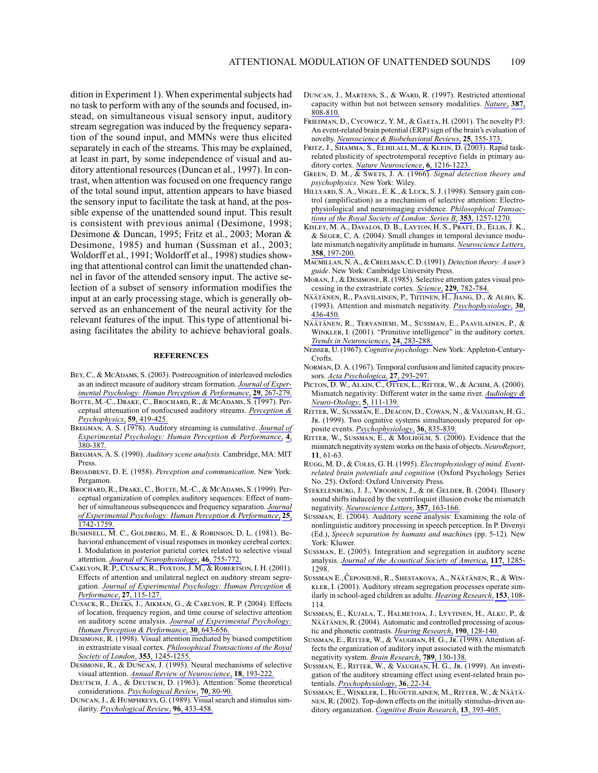dition in Experiment 1). When experimental subjects had no task to perform with any of the sounds and focused, instead, on simultaneous visual sensory input, auditory stream segregation was induced by the frequency separation of the sound input, and MMNs were thus elicited separately in each of the streams. This may be explained. at least in part, by some independence of visual and auditory attentional resources (Duncan et al., 1997). In contrast, when attention was focused on one frequency range of the total sound input, attention appears to have biased the sensory input to facilitate the task at hand, at the possible expense of the unattended sound input. This result is consistent with previous animal (Desimone, 1998; Desimone & Duncan, 1995; Fritz et al., 2003; Moran & Desimone, 1985) and human (Sussman et al., 2003; Woldorff et al., 1991; Woldorff et al., 1998) studies showing that attentional control can limit the unattended channel in favor of the attended sensory input. The active selection of a subset of sensory information modifies the input at an early processing stage, which is generally observed as an enhancement of the neural activity for the relevant features of the input. This type of attentional biasing facilitates the ability to achieve behavioral goals.

#### **REFERENCES**

- BEY, C., & MCADAMS, S. (2003). Postrecognition of interleaved melodies as an indirect measure of auditory stream formation. Journal of Experimental Psychology: Human Perception & Performance, 29, 267-279.
- BOTTE, M.-C., DRAKE, C., BROCHARD, R., & MCADAMS, S. (1997). Perceptual attenuation of nonfocused auditory streams. Perception & Psychophysics, 59, 419-425.
- BREGMAN, A. S.  $(1978)$ . Auditory streaming is cumulative. *Journal of* Experimental Psychology: Human Perception & Performance, 4, 380-387.
- BREGMAN, A. S. (1990). Auditory scene analysis. Cambridge, MA: MIT **Press**
- BROADBENT, D. E. (1958). Perception and communication. New York: Pergamon.
- BROCHARD, R., DRAKE, C., BOTTE, M.-C., & MCADAMS, S. (1999). Perceptual organization of complex auditory sequences: Effect of number of simultaneous subsequences and frequency separation. Journal of Experimental Psychology: Human Perception & Performance, 25, 1742-1759.
- BUSHNELL, M. C., GOLDBERG, M. E., & ROBINSON, D. L. (1981). Behavioral enhancement of visual responses in monkey cerebral cortex: I. Modulation in posterior parietal cortex related to selective visual attention. Journal of Neurophysiology, 46, 755-772.
- CARLYON, R. P., CUSACK, R., FOXTON, J. M., & ROBERTSON, I. H. (2001). Effects of attention and unilateral neglect on auditory stream segregation. Journal of Experimental Psychology: Human Perception & Performance, 27, 115-127.
- CUSACK, R., DEEKS, J., AIKMAN, G., & CARLYON, R. P. (2004). Effects of location, frequency region, and time course of selective attention on auditory scene analysis. Journal of Experimental Psychology: Human Perception & Performance, 30, 643-656.
- DESIMONE, R. (1998). Visual attention mediated by biased competition in extrastriate visual cortex. Philosophical Transactions of the Royal Society of London, 353, 1245-1255.
- DESIMONE, R., & DUNCAN, J. (1995). Neural mechanisms of selective visual attention. Annual Review of Neuroscience, 18, 193-222.
- DEUTSCH, J. A., & DEUTSCH, D. (1963). Attention: Some theoretical considerations. Psychological Review, 70, 80-90.
- DUNCAN, J., & HUMPHREYS, G. (1989). Visual search and stimulus similarity. Psychological Review, 96, 433-458.
- DUNCAN, J., MARTENS, S., & WARD, R. (1997). Restricted attentional capacity within but not between sensory modalities. Nature, 387, 808-810
- FRIEDMAN, D., CYCOWICZ, Y. M., & GAETA, H. (2001). The novelty P3: An event-related brain potential (ERP) sign of the brain's evaluation of novelty. Neuroscience & Biobehavioral Reviews, 25, 355-373.
- FRITZ, J., SHAMMA, S., ELHILALI, M., & KLEIN, D. (2003). Rapid taskrelated plasticity of spectrotemporal receptive fields in primary auditory cortex. Nature Neuroscience, 6, 1216-1223.
- GREEN, D. M., & SWETS, J. A. (1966). Signal detection theory and psychophysics. New York: Wiley.
- HILLYARD, S. A., VOGEL, E. K., & LUCK, S. J. (1998). Sensory gain control (amplification) as a mechanism of selective attention: Electrophysiological and neuroimaging evidence. Philosophical Transactions of the Royal Society of London: Series B, 353, 1257-1270.
- KISLEY, M. A., DAVALOS, D. B., LAYTON, H. S., PRATT, D., ELLIS, J. K., & SEGER, C. A. (2004). Small changes in temporal deviance modulate mismatch negativity amplitude in humans. Neuroscience Letters, 358, 197-200.
- MACMILLAN, N. A., & CREELMAN, C. D. (1991). Detection theory: A user's guide. New York: Cambridge University Press.
- MORAN, J., & DESIMONE, R. (1985). Selective attention gates visual processing in the extrastriate cortex. Science, 229, 782-784.
- NÄÄTÄNEN, R., PAAVILAINEN, P., TIITINEN, H., JIANG, D., & ALHO, K. (1993). Attention and mismatch negativity. Psychophysiology, 30, 436-450.
- NÄÄTÄNEN, R., TERVANIEMI, M., SUSSMAN, E., PAAVILAINEN, P., & WINKLER, I. (2001). "Primitive intelligence" in the auditory cortex. Trends in Neurosciences, 24, 283-288.
- NEISSER, U. (1967). Cognitive psychology. New York: Appleton-Century- $C$ rofts
- NORMAN, D. A. (1967). Temporal confusion and limited capacity processors. Acta Psychologica, 27, 293-297.
- PICTON, D. W., ALAIN, C., OTTEN, L., RITTER, W., & ACHIM, A. (2000). Mismatch negativity: Different water in the same river. Audiology & Neuro-Otology, 5, 111-139.
- RITTER, W., SUSSMAN, E., DEACON, D., COWAN, N., & VAUGHAN, H. G., JR. (1999). Two cognitive systems simultaneously prepared for opposite events. Psychophysiology, 36, 835-839.
- RITTER, W., SUSSMAN, E., & MOLHOLM, S. (2000). Evidence that the mismatch negativity system works on the basis of objects. NeuroReport, 11, 61-63.
- RUGG, M. D., & COLES, G. H. (1995). Electrophysiology of mind. Eventrelated brain potentials and cognition (Oxford Psychology Series No. 25). Oxford: Oxford University Press.
- STEKELENBURG, J. J., VROOMEN, J., & DE GELDER, B. (2004). Illusory sound shifts induced by the ventriloquist illusion evoke the mismatch negativity. Neuroscience Letters, 357, 163-166.
- SUSSMAN, E. (2004). Auditory scene analysis: Examining the role of nonlinguistic auditory processing in speech perception. In P. Divenyi (Ed.), Speech separation by humans and machines (pp. 5-12). New York: Kluwer.
- SUSSMAN, E. (2005). Integration and segregation in auditory scene analysis. Journal of the Acoustical Society of America, 117, 1285-1298.
- SUSSMAN E., ČEPONIENĖ, R., SHESTAKOVA, A., NÄÄTÄNEN, R., & WIN-KLER, I. (2001). Auditory stream segregation processes operate similarly in school-aged children as adults. Hearing Research, 153, 108-114.
- SUSSMAN, E., KUJALA, T., HALMETOJA, J., LYYTINEN, H., ALKU, P., & NÄÄTÄNEN, R. (2004). Automatic and controlled processing of acoustic and phonetic contrasts. Hearing Research, 190, 128-140.
- SUSSMAN, E., RITTER, W., & VAUGHAN, H. G., JR. (1998). Attention affects the organization of auditory input associated with the mismatch negativity system. Brain Research, 789, 130-138.
- SUSSMAN, E., RITTER, W., & VAUGHAN, H. G., JR. (1999). An investigation of the auditory streaming effect using event-related brain potentials. Psychophysiology, 36, 22-34.
- SUSSMAN, E., WINKLER, I., HUOUTILAINEN, M., RITTER, W., & NÄÄTÄ-NEN, R. (2002). Top-down effects on the initially stimulus-driven auditory organization. Cognitive Brain Research, 13, 393-405.